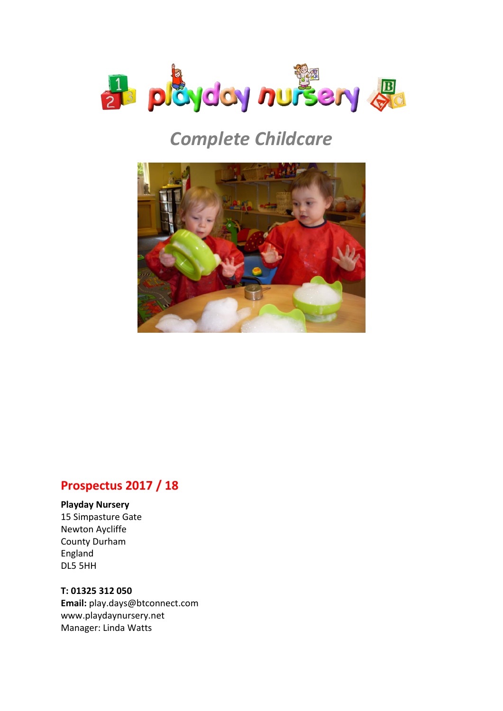

## *Complete Childcare*



### **Prospectus 2017 / 18**

#### **Playday Nursery**

15 Simpasture Gate Newton Aycliffe County Durham England DL5 5HH

#### **T: 01325 312 050**

**Email:** play.days@btconnect.com www.playdaynursery.net Manager: Linda Watts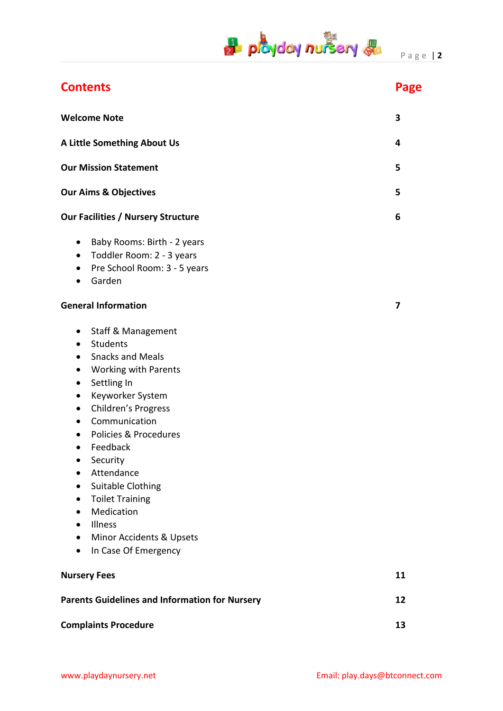# **P playday nursery &** Page 12

| <b>Welcome Note</b>                                                                                                                                                                                                                                                                                                                                                                                                                                                                                                                                                          | 3  |
|------------------------------------------------------------------------------------------------------------------------------------------------------------------------------------------------------------------------------------------------------------------------------------------------------------------------------------------------------------------------------------------------------------------------------------------------------------------------------------------------------------------------------------------------------------------------------|----|
| A Little Something About Us                                                                                                                                                                                                                                                                                                                                                                                                                                                                                                                                                  | 4  |
| <b>Our Mission Statement</b>                                                                                                                                                                                                                                                                                                                                                                                                                                                                                                                                                 | 5  |
| <b>Our Aims &amp; Objectives</b>                                                                                                                                                                                                                                                                                                                                                                                                                                                                                                                                             | 5  |
| <b>Our Facilities / Nursery Structure</b>                                                                                                                                                                                                                                                                                                                                                                                                                                                                                                                                    | 6  |
| Baby Rooms: Birth - 2 years<br>$\bullet$<br>Toddler Room: 2 - 3 years<br>$\bullet$<br>Pre School Room: 3 - 5 years<br>$\bullet$<br>Garden<br>$\bullet$                                                                                                                                                                                                                                                                                                                                                                                                                       |    |
| <b>General Information</b>                                                                                                                                                                                                                                                                                                                                                                                                                                                                                                                                                   | 7  |
| <b>Staff &amp; Management</b><br>$\bullet$<br>Students<br>$\bullet$<br><b>Snacks and Meals</b><br>$\bullet$<br><b>Working with Parents</b><br>$\bullet$<br>Settling In<br>$\bullet$<br>Keyworker System<br>$\bullet$<br>Children's Progress<br>$\bullet$<br>Communication<br>$\bullet$<br>Policies & Procedures<br>$\bullet$<br>Feedback<br>$\bullet$<br>Security<br>Attendance<br>$\bullet$<br>Suitable Clothing<br>$\bullet$<br><b>Toilet Training</b><br>Medication<br>$\bullet$<br>Illness<br>$\bullet$<br>Minor Accidents & Upsets<br>In Case Of Emergency<br>$\bullet$ |    |
| <b>Nursery Fees</b>                                                                                                                                                                                                                                                                                                                                                                                                                                                                                                                                                          | 11 |
| <b>Parents Guidelines and Information for Nursery</b>                                                                                                                                                                                                                                                                                                                                                                                                                                                                                                                        | 12 |
| <b>Complaints Procedure</b>                                                                                                                                                                                                                                                                                                                                                                                                                                                                                                                                                  | 13 |

**Contents Page**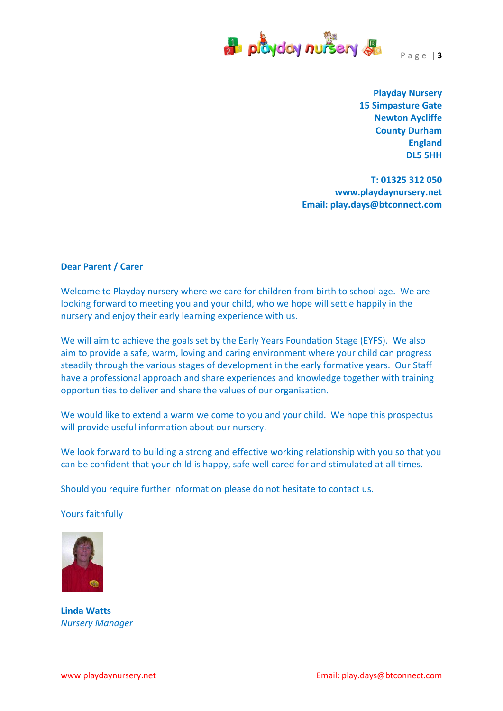

**Playday Nursery 15 Simpasture Gate Newton Aycliffe County Durham England DL5 5HH** 

**T: 01325 312 050 www.playdaynursery.net Email: play.days@btconnect.com** 

#### **Dear Parent / Carer**

Welcome to Playday nursery where we care for children from birth to school age. We are looking forward to meeting you and your child, who we hope will settle happily in the nursery and enjoy their early learning experience with us.

We will aim to achieve the goals set by the Early Years Foundation Stage (EYFS). We also aim to provide a safe, warm, loving and caring environment where your child can progress steadily through the various stages of development in the early formative years. Our Staff have a professional approach and share experiences and knowledge together with training opportunities to deliver and share the values of our organisation.

We would like to extend a warm welcome to you and your child. We hope this prospectus will provide useful information about our nursery.

We look forward to building a strong and effective working relationship with you so that you can be confident that your child is happy, safe well cared for and stimulated at all times.

Should you require further information please do not hesitate to contact us.

Yours faithfully



**Linda Watts**  *Nursery Manager*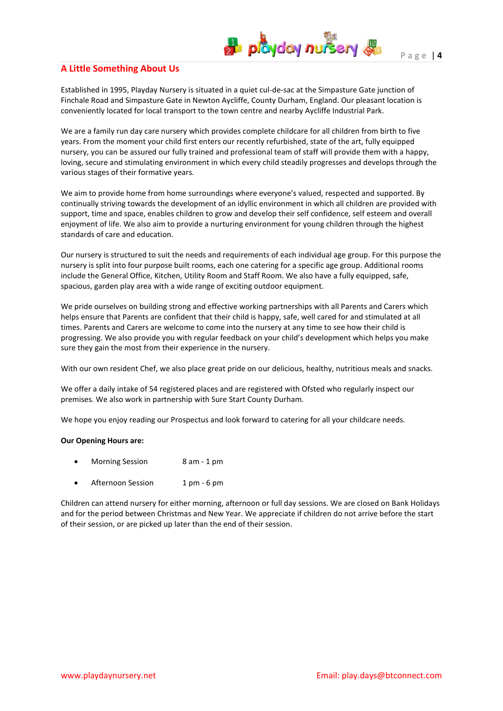#### **A Little Something About Us**

Established in 1995, Playday Nursery is situated in a quiet cul-de-sac at the Simpasture Gate junction of Finchale Road and Simpasture Gate in Newton Aycliffe, County Durham, England. Our pleasant location is conveniently located for local transport to the town centre and nearby Aycliffe Industrial Park.

We are a family run day care nursery which provides complete childcare for all children from birth to five years. From the moment your child first enters our recently refurbished, state of the art, fully equipped nursery, you can be assured our fully trained and professional team of staff will provide them with a happy, loving, secure and stimulating environment in which every child steadily progresses and develops through the various stages of their formative years.

We aim to provide home from home surroundings where everyone's valued, respected and supported. By continually striving towards the development of an idyllic environment in which all children are provided with support, time and space, enables children to grow and develop their self confidence, self esteem and overall enjoyment of life. We also aim to provide a nurturing environment for young children through the highest standards of care and education.

Our nursery is structured to suit the needs and requirements of each individual age group. For this purpose the nursery is split into four purpose built rooms, each one catering for a specific age group. Additional rooms include the General Office, Kitchen, Utility Room and Staff Room. We also have a fully equipped, safe, spacious, garden play area with a wide range of exciting outdoor equipment.

We pride ourselves on building strong and effective working partnerships with all Parents and Carers which helps ensure that Parents are confident that their child is happy, safe, well cared for and stimulated at all times. Parents and Carers are welcome to come into the nursery at any time to see how their child is progressing. We also provide you with regular feedback on your child's development which helps you make sure they gain the most from their experience in the nursery.

With our own resident Chef, we also place great pride on our delicious, healthy, nutritious meals and snacks.

We offer a daily intake of 54 registered places and are registered with Ofsted who regularly inspect our premises. We also work in partnership with Sure Start County Durham.

We hope you enjoy reading our Prospectus and look forward to catering for all your childcare needs.

#### **Our Opening Hours are:**

- Morning Session 8 am 1 pm
- Afternoon Session 1 pm 6 pm

Children can attend nursery for either morning, afternoon or full day sessions. We are closed on Bank Holidays and for the period between Christmas and New Year. We appreciate if children do not arrive before the start of their session, or are picked up later than the end of their session.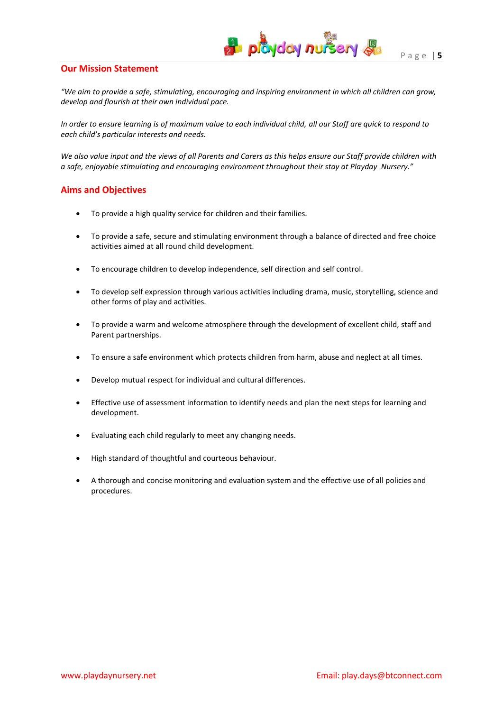*"We aim to provide a safe, stimulating, encouraging and inspiring environment in which all children can grow, develop and flourish at their own individual pace.*

**B** playday nursery **B** 

*In order to ensure learning is of maximum value to each individual child, all our Staff are quick to respond to each child's particular interests and needs.*

*We also value input and the views of all Parents and Carers as this helps ensure our Staff provide children with a safe, enjoyable stimulating and encouraging environment throughout their stay at Playday Nursery."*

#### **Aims and Objectives**

- To provide a high quality service for children and their families.
- To provide a safe, secure and stimulating environment through a balance of directed and free choice activities aimed at all round child development.
- To encourage children to develop independence, self direction and self control.
- To develop self expression through various activities including drama, music, storytelling, science and other forms of play and activities.
- To provide a warm and welcome atmosphere through the development of excellent child, staff and Parent partnerships.
- To ensure a safe environment which protects children from harm, abuse and neglect at all times.
- Develop mutual respect for individual and cultural differences.
- Effective use of assessment information to identify needs and plan the next steps for learning and development.
- Evaluating each child regularly to meet any changing needs.
- High standard of thoughtful and courteous behaviour.
- A thorough and concise monitoring and evaluation system and the effective use of all policies and procedures.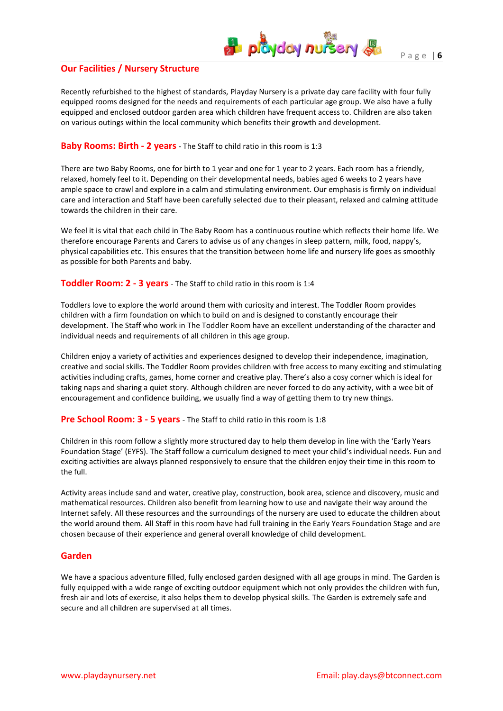#### **Our Facilities / Nursery Structure**

Recently refurbished to the highest of standards, Playday Nursery is a private day care facility with four fully equipped rooms designed for the needs and requirements of each particular age group. We also have a fully equipped and enclosed outdoor garden area which children have frequent access to. Children are also taken on various outings within the local community which benefits their growth and development.

 $\frac{1}{2}$  playday nursery  $\frac{1}{2}$ 

#### **Baby Rooms: Birth - 2 years** - The Staff to child ratio in this room is 1:3

There are two Baby Rooms, one for birth to 1 year and one for 1 year to 2 years. Each room has a friendly, relaxed, homely feel to it. Depending on their developmental needs, babies aged 6 weeks to 2 years have ample space to crawl and explore in a calm and stimulating environment. Our emphasis is firmly on individual care and interaction and Staff have been carefully selected due to their pleasant, relaxed and calming attitude towards the children in their care.

We feel it is vital that each child in The Baby Room has a continuous routine which reflects their home life. We therefore encourage Parents and Carers to advise us of any changes in sleep pattern, milk, food, nappy's, physical capabilities etc. This ensures that the transition between home life and nursery life goes as smoothly as possible for both Parents and baby.

#### **Toddler Room: 2 - 3 years** - The Staff to child ratio in this room is 1:4

Toddlers love to explore the world around them with curiosity and interest. The Toddler Room provides children with a firm foundation on which to build on and is designed to constantly encourage their development. The Staff who work in The Toddler Room have an excellent understanding of the character and individual needs and requirements of all children in this age group.

Children enjoy a variety of activities and experiences designed to develop their independence, imagination, creative and social skills. The Toddler Room provides children with free access to many exciting and stimulating activities including crafts, games, home corner and creative play. There's also a cosy corner which is ideal for taking naps and sharing a quiet story. Although children are never forced to do any activity, with a wee bit of encouragement and confidence building, we usually find a way of getting them to try new things.

#### **Pre School Room: 3 - 5 years** - The Staff to child ratio in this room is 1:8

Children in this room follow a slightly more structured day to help them develop in line with the 'Early Years Foundation Stage' (EYFS). The Staff follow a curriculum designed to meet your child's individual needs. Fun and exciting activities are always planned responsively to ensure that the children enjoy their time in this room to the full.

Activity areas include sand and water, creative play, construction, book area, science and discovery, music and mathematical resources. Children also benefit from learning how to use and navigate their way around the Internet safely. All these resources and the surroundings of the nursery are used to educate the children about the world around them. All Staff in this room have had full training in the Early Years Foundation Stage and are chosen because of their experience and general overall knowledge of child development.

#### **Garden**

We have a spacious adventure filled, fully enclosed garden designed with all age groups in mind. The Garden is fully equipped with a wide range of exciting outdoor equipment which not only provides the children with fun, fresh air and lots of exercise, it also helps them to develop physical skills. The Garden is extremely safe and secure and all children are supervised at all times.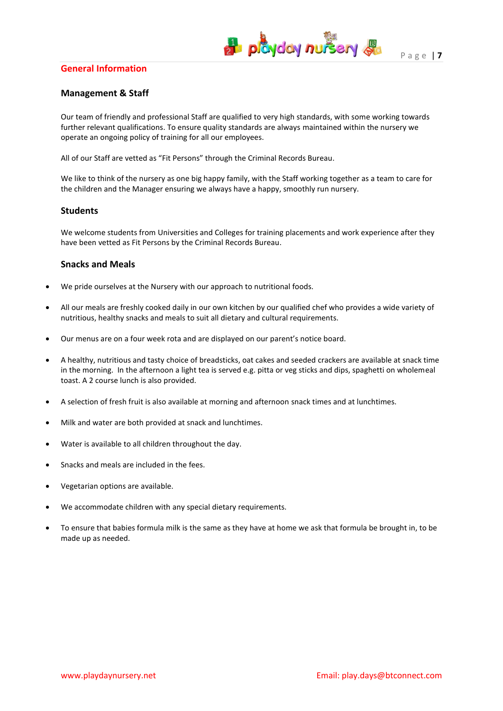#### **General Information**



#### **Management & Staff**

Our team of friendly and professional Staff are qualified to very high standards, with some working towards further relevant qualifications. To ensure quality standards are always maintained within the nursery we operate an ongoing policy of training for all our employees.

All of our Staff are vetted as "Fit Persons" through the Criminal Records Bureau.

We like to think of the nursery as one big happy family, with the Staff working together as a team to care for the children and the Manager ensuring we always have a happy, smoothly run nursery.

#### **Students**

We welcome students from Universities and Colleges for training placements and work experience after they have been vetted as Fit Persons by the Criminal Records Bureau.

#### **Snacks and Meals**

- We pride ourselves at the Nursery with our approach to nutritional foods.
- All our meals are freshly cooked daily in our own kitchen by our qualified chef who provides a wide variety of nutritious, healthy snacks and meals to suit all dietary and cultural requirements.
- Our menus are on a four week rota and are displayed on our parent's notice board.
- A healthy, nutritious and tasty choice of breadsticks, oat cakes and seeded crackers are available at snack time in the morning. In the afternoon a light tea is served e.g. pitta or veg sticks and dips, spaghetti on wholemeal toast. A 2 course lunch is also provided.
- A selection of fresh fruit is also available at morning and afternoon snack times and at lunchtimes.
- Milk and water are both provided at snack and lunchtimes.
- Water is available to all children throughout the day.
- Snacks and meals are included in the fees.
- Vegetarian options are available.
- We accommodate children with any special dietary requirements.
- To ensure that babies formula milk is the same as they have at home we ask that formula be brought in, to be made up as needed.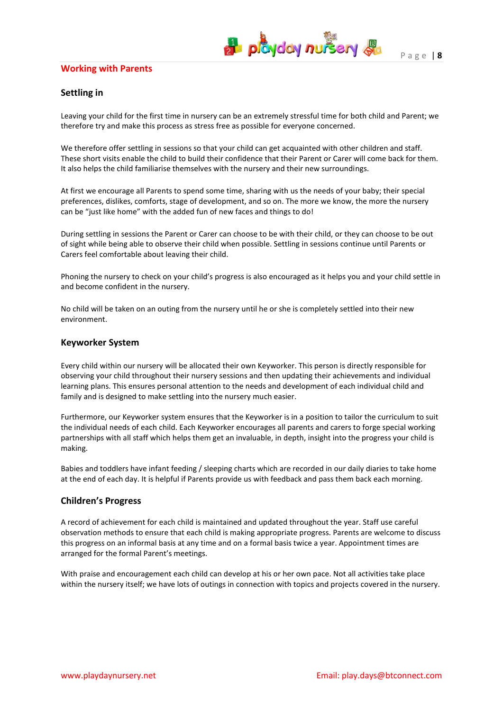#### **Working with Parents**

#### **Settling in**

Leaving your child for the first time in nursery can be an extremely stressful time for both child and Parent; we therefore try and make this process as stress free as possible for everyone concerned.

We therefore offer settling in sessions so that your child can get acquainted with other children and staff. These short visits enable the child to build their confidence that their Parent or Carer will come back for them. It also helps the child familiarise themselves with the nursery and their new surroundings.

At first we encourage all Parents to spend some time, sharing with us the needs of your baby; their special preferences, dislikes, comforts, stage of development, and so on. The more we know, the more the nursery can be "just like home" with the added fun of new faces and things to do!

During settling in sessions the Parent or Carer can choose to be with their child, or they can choose to be out of sight while being able to observe their child when possible. Settling in sessions continue until Parents or Carers feel comfortable about leaving their child.

Phoning the nursery to check on your child's progress is also encouraged as it helps you and your child settle in and become confident in the nursery.

No child will be taken on an outing from the nursery until he or she is completely settled into their new environment.

#### **Keyworker System**

Every child within our nursery will be allocated their own Keyworker. This person is directly responsible for observing your child throughout their nursery sessions and then updating their achievements and individual learning plans. This ensures personal attention to the needs and development of each individual child and family and is designed to make settling into the nursery much easier.

Furthermore, our Keyworker system ensures that the Keyworker is in a position to tailor the curriculum to suit the individual needs of each child. Each Keyworker encourages all parents and carers to forge special working partnerships with all staff which helps them get an invaluable, in depth, insight into the progress your child is making.

Babies and toddlers have infant feeding / sleeping charts which are recorded in our daily diaries to take home at the end of each day. It is helpful if Parents provide us with feedback and pass them back each morning.

#### **Children's Progress**

A record of achievement for each child is maintained and updated throughout the year. Staff use careful observation methods to ensure that each child is making appropriate progress. Parents are welcome to discuss this progress on an informal basis at any time and on a formal basis twice a year. Appointment times are arranged for the formal Parent's meetings.

With praise and encouragement each child can develop at his or her own pace. Not all activities take place within the nursery itself; we have lots of outings in connection with topics and projects covered in the nursery.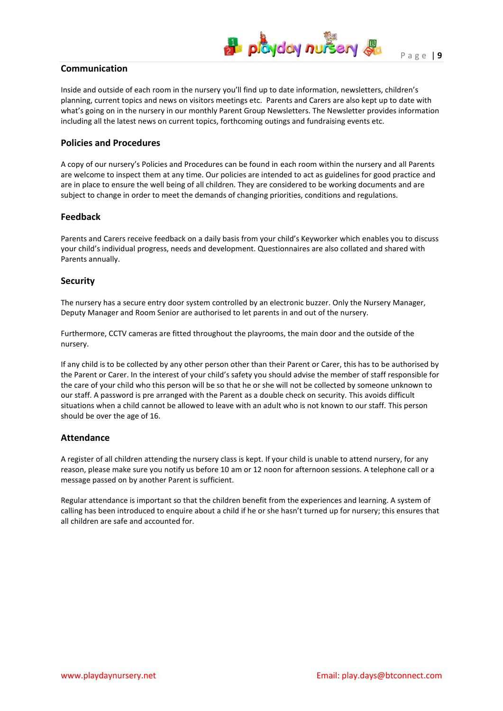

#### **Communication**

Inside and outside of each room in the nursery you'll find up to date information, newsletters, children's planning, current topics and news on visitors meetings etc. Parents and Carers are also kept up to date with what's going on in the nursery in our monthly Parent Group Newsletters. The Newsletter provides information including all the latest news on current topics, forthcoming outings and fundraising events etc.

#### **Policies and Procedures**

A copy of our nursery's Policies and Procedures can be found in each room within the nursery and all Parents are welcome to inspect them at any time. Our policies are intended to act as guidelines for good practice and are in place to ensure the well being of all children. They are considered to be working documents and are subject to change in order to meet the demands of changing priorities, conditions and regulations.

#### **Feedback**

Parents and Carers receive feedback on a daily basis from your child's Keyworker which enables you to discuss your child's individual progress, needs and development. Questionnaires are also collated and shared with Parents annually.

#### **Security**

The nursery has a secure entry door system controlled by an electronic buzzer. Only the Nursery Manager, Deputy Manager and Room Senior are authorised to let parents in and out of the nursery.

Furthermore, CCTV cameras are fitted throughout the playrooms, the main door and the outside of the nursery.

If any child is to be collected by any other person other than their Parent or Carer, this has to be authorised by the Parent or Carer. In the interest of your child's safety you should advise the member of staff responsible for the care of your child who this person will be so that he or she will not be collected by someone unknown to our staff. A password is pre arranged with the Parent as a double check on security. This avoids difficult situations when a child cannot be allowed to leave with an adult who is not known to our staff. This person should be over the age of 16.

#### **Attendance**

A register of all children attending the nursery class is kept. If your child is unable to attend nursery, for any reason, please make sure you notify us before 10 am or 12 noon for afternoon sessions. A telephone call or a message passed on by another Parent is sufficient.

Regular attendance is important so that the children benefit from the experiences and learning. A system of calling has been introduced to enquire about a child if he or she hasn't turned up for nursery; this ensures that all children are safe and accounted for.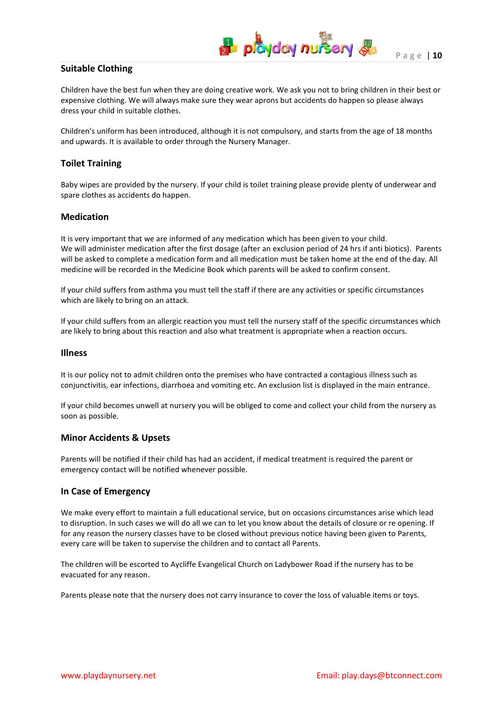

P a g e | **10**

#### **Suitable Clothing**

Children have the best fun when they are doing creative work. We ask you not to bring children in their best or expensive clothing. We will always make sure they wear aprons but accidents do happen so please always dress your child in suitable clothes.

Children's uniform has been introduced, although it is not compulsory, and starts from the age of 18 months and upwards. It is available to order through the Nursery Manager.

#### **Toilet Training**

Baby wipes are provided by the nursery. If your child is toilet training please provide plenty of underwear and spare clothes as accidents do happen.

#### **Medication**

It is very important that we are informed of any medication which has been given to your child. We will administer medication after the first dosage (after an exclusion period of 24 hrs if anti biotics). Parents will be asked to complete a medication form and all medication must be taken home at the end of the day. All medicine will be recorded in the Medicine Book which parents will be asked to confirm consent.

If your child suffers from asthma you must tell the staff if there are any activities or specific circumstances which are likely to bring on an attack.

If your child suffers from an allergic reaction you must tell the nursery staff of the specific circumstances which are likely to bring about this reaction and also what treatment is appropriate when a reaction occurs.

#### **Illness**

It is our policy not to admit children onto the premises who have contracted a contagious illness such as conjunctivitis, ear infections, diarrhoea and vomiting etc. An exclusion list is displayed in the main entrance.

If your child becomes unwell at nursery you will be obliged to come and collect your child from the nursery as soon as possible.

#### **Minor Accidents & Upsets**

Parents will be notified if their child has had an accident, if medical treatment is required the parent or emergency contact will be notified whenever possible.

#### **In Case of Emergency**

We make every effort to maintain a full educational service, but on occasions circumstances arise which lead to disruption. In such cases we will do all we can to let you know about the details of closure or re opening. If for any reason the nursery classes have to be closed without previous notice having been given to Parents, every care will be taken to supervise the children and to contact all Parents.

The children will be escorted to Aycliffe Evangelical Church on Ladybower Road if the nursery has to be evacuated for any reason.

Parents please note that the nursery does not carry insurance to cover the loss of valuable items or toys.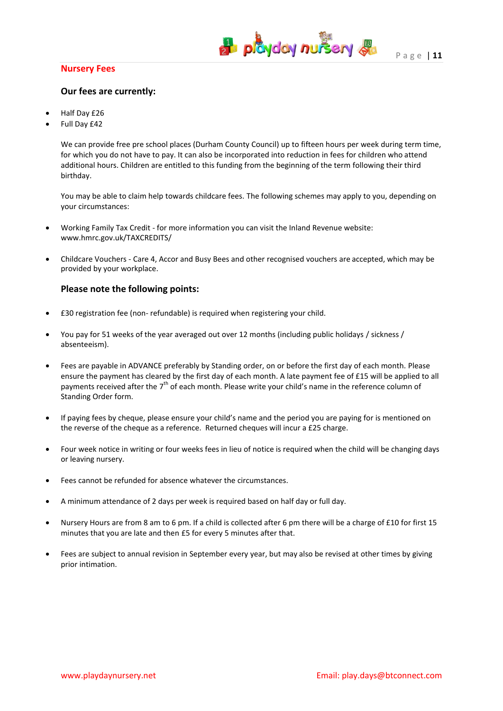#### **Nursery Fees**



#### **Our fees are currently:**

- Half Day £26
- Full Day £42

We can provide free pre school places (Durham County Council) up to fifteen hours per week during term time, for which you do not have to pay. It can also be incorporated into reduction in fees for children who attend additional hours. Children are entitled to this funding from the beginning of the term following their third birthday.

You may be able to claim help towards childcare fees. The following schemes may apply to you, depending on your circumstances:

- Working Family Tax Credit for more information you can visit the Inland Revenue website: www.hmrc.gov.uk/TAXCREDITS/
- Childcare Vouchers Care 4, Accor and Busy Bees and other recognised vouchers are accepted, which may be provided by your workplace.

#### **Please note the following points:**

- £30 registration fee (non- refundable) is required when registering your child.
- You pay for 51 weeks of the year averaged out over 12 months (including public holidays / sickness / absenteeism).
- Fees are payable in ADVANCE preferably by Standing order, on or before the first day of each month. Please ensure the payment has cleared by the first day of each month. A late payment fee of £15 will be applied to all payments received after the 7<sup>th</sup> of each month. Please write your child's name in the reference column of Standing Order form.
- If paying fees by cheque, please ensure your child's name and the period you are paying for is mentioned on the reverse of the cheque as a reference. Returned cheques will incur a £25 charge.
- Four week notice in writing or four weeks fees in lieu of notice is required when the child will be changing days or leaving nursery.
- Fees cannot be refunded for absence whatever the circumstances.
- A minimum attendance of 2 days per week is required based on half day or full day.
- Nursery Hours are from 8 am to 6 pm. If a child is collected after 6 pm there will be a charge of £10 for first 15 minutes that you are late and then £5 for every 5 minutes after that.
- Fees are subject to annual revision in September every year, but may also be revised at other times by giving prior intimation.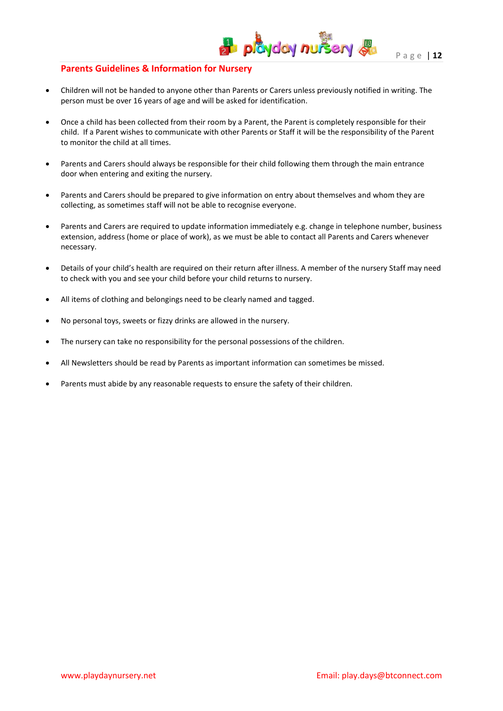#### **Parents Guidelines & Information for Nursery**

 Children will not be handed to anyone other than Parents or Carers unless previously notified in writing. The person must be over 16 years of age and will be asked for identification.

**H** playday nursery &

- Once a child has been collected from their room by a Parent, the Parent is completely responsible for their child. If a Parent wishes to communicate with other Parents or Staff it will be the responsibility of the Parent to monitor the child at all times.
- Parents and Carers should always be responsible for their child following them through the main entrance door when entering and exiting the nursery.
- Parents and Carers should be prepared to give information on entry about themselves and whom they are collecting, as sometimes staff will not be able to recognise everyone.
- Parents and Carers are required to update information immediately e.g. change in telephone number, business extension, address (home or place of work), as we must be able to contact all Parents and Carers whenever necessary.
- Details of your child's health are required on their return after illness. A member of the nursery Staff may need to check with you and see your child before your child returns to nursery.
- All items of clothing and belongings need to be clearly named and tagged.
- No personal toys, sweets or fizzy drinks are allowed in the nursery.
- The nursery can take no responsibility for the personal possessions of the children.
- All Newsletters should be read by Parents as important information can sometimes be missed.
- Parents must abide by any reasonable requests to ensure the safety of their children.